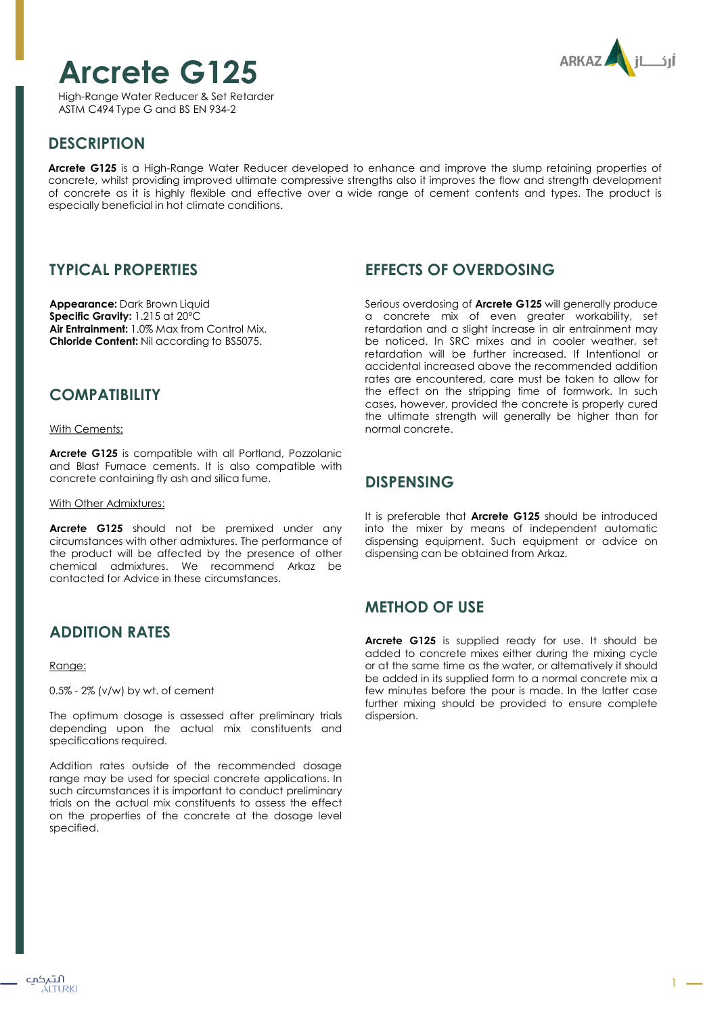# **Arcrete G125**

High-Range Water Reducer & Set Retarder ASTM C494 Type G and BS EN 934-2



# **DESCRIPTION**

**Arcrete G125** is a High-Range Water Reducer developed to enhance and improve the slump retaining properties of concrete, whilst providing improved ultimate compressive strengths also it improves the flow and strength development of concrete as it is highly flexible and effective over a wide range of cement contents and types. The product is especially beneficial in hot climate conditions.

## **TYPICAL PROPERTIES**

**Appearance:** Dark Brown Liquid **Specific Gravity:** 1.215 at 20ºC **Air Entrainment:** 1.0% Max from Control Mix. **Chloride Content:** Nil according to BS5075.

## **COMPATIBILITY**

With Cements:

**Arcrete G125** is compatible with all Portland, Pozzolanic and Blast Furnace cements. It is also compatible with concrete containing fly ash and silica fume.

With Other Admixtures:

**Arcrete G125** should not be premixed under any circumstances with other admixtures. The performance of the product will be affected by the presence of other chemical admixtures. We recommend Arkaz be contacted for Advice in these circumstances.

# **ADDITION RATES**

Range:

0.5% - 2% (v/w) by wt. of cement

The optimum dosage is assessed after preliminary trials depending upon the actual mix constituents and specifications required.

Addition rates outside of the recommended dosage range may be used for special concrete applications. In such circumstances it is important to conduct preliminary trials on the actual mix constituents to assess the effect on the properties of the concrete at the dosage level specified.

## **EFFECTS OF OVERDOSING**

Serious overdosing of **Arcrete G125** will generally produce a concrete mix of even greater workability, set retardation and a slight increase in air entrainment may be noticed. In SRC mixes and in cooler weather, set retardation will be further increased. If Intentional or accidental increased above the recommended addition rates are encountered, care must be taken to allow for the effect on the stripping time of formwork. In such cases, however, provided the concrete is properly cured the ultimate strength will generally be higher than for normal concrete.

## **DISPENSING**

It is preferable that **Arcrete G125** should be introduced into the mixer by means of independent automatic dispensing equipment. Such equipment or advice on dispensing can be obtained from Arkaz.

# **METHOD OF USE**

**Arcrete G125** is supplied ready for use. It should be added to concrete mixes either during the mixing cycle or at the same time as the water, or alternatively it should be added in its supplied form to a normal concrete mix a few minutes before the pour is made. In the latter case further mixing should be provided to ensure complete dispersion.